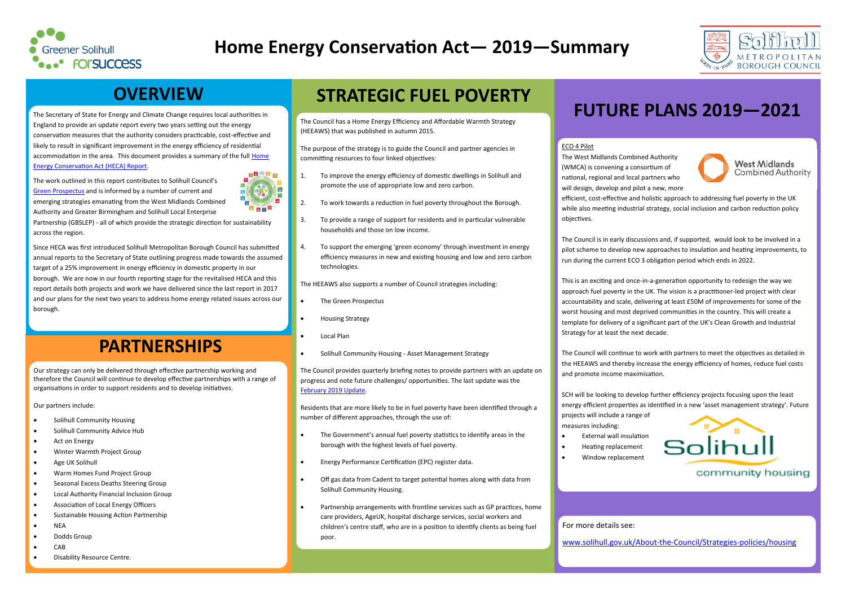# **OVERVIEW**

The Secretary of State for Energy and Climate Change requires local authorities in England to provide an update report every two years setting out the energy conservation measures that the authority considers practicable, cost-effective and likely to result in significant improvement in the energy efficiency of residential accommodation in the area. This document provides a summary of the full Home [Energy Conservation Act \(HECA\) Report.](http://www.solihull.gov.uk/About-the-Council/Strategies-policies/housing)

The work outlined in this report contributes to Solihull Council's [Green Prospectus](http://www.solihull.gov.uk/sustainability) and is informed by a number of current and emerging strategies emanating from the West Midlands Combined Authority and Greater Birmingham and Solihull Local Enterprise



Partnership (GBSLEP) - all of which provide the strategic direction for sustainability across the region.

Since HECA was first introduced Solihull Metropolitan Borough Council has submitted annual reports to the Secretary of State outlining progress made towards the assumed target of a 25% improvement in energy efficiency in domestic property in our borough. We are now in our fourth reporting stage for the revitalised HECA and this report details both projects and work we have delivered since the last report in 2017 and our plans for the next two years to address home energy related issues across our borough.

Our strategy can only be delivered through effective partnership working and therefore the Council will continue to develop effective partnerships with a range of organisations in order to support residents and to develop initiatives.

Our partners include:

- Solihull Community Housing
- Solihull Community Advice Hub
- Act on Energy
- Winter Warmth Project Group
- Age UK Solihull
- Warm Homes Fund Project Group
- Seasonal Excess Deaths Steering Group
- Local Authority Financial Inclusion Group
- Association of Local Energy Officers
- Sustainable Housing Action Partnership
- **NEA**
- Dodds Group
- CAB
- Disability Resource Centre.



# **Home Energy Conservation Act— 2019—Summary**

## **PARTNERSHIPS**

The Council has a Home Energy Efficiency and Affordable Warmth Strategy (HEEAWS) that was published in autumn 2015.

The purpose of the strategy is to guide the Council and partner agencies in committing resources to four linked objectives:

- 1. To improve the energy efficiency of domestic dwellings in Solihull and promote the use of appropriate low and zero carbon.
- 2. To work towards a reduction in fuel poverty throughout the Borough.
- 3. To provide a range of support for residents and in particular vulnerable households and those on low income.
- 4. To support the emerging 'green economy' through investment in energy efficiency measures in new and existing housing and low and zero carbon technologies.

The HEEAWS also supports a number of Council strategies including:

- The Green Prospectus
- Housing Strategy
- Local Plan
- Solihull Community Housing Asset Management Strategy

The Council provides quarterly briefing notes to provide partners with an update on progress and note future challenges/ opportunities. The last update was the [February 2019 Update.](http://www.solihull.gov.uk/Portals/0/StrategiesPlansPolicies/Home-Energy-Efficiency-update-February-2019.pdf)

Residents that are more likely to be in fuel poverty have been identified through a number of different approaches, through the use of:

- The Government's annual fuel poverty statistics to identify areas in the borough with the highest levels of fuel poverty.
- Energy Performance Certification (EPC) register data.
- Off gas data from Cadent to target potential homes along with data from Solihull Community Housing.
- Partnership arrangements with frontline services such as GP practices, home care providers, AgeUK, hospital discharge services, social workers and children's centre staff, who are in a position to identify clients as being fuel poor.

# **STRATEGIC FUEL POVERTY**

# **FUTURE PLANS 2019—2021**



**Combined Authority** 

## ECO 4 Pilot

The West Midlands Combined Authority **West Midlands** (WMCA) is convening a consortium of national, regional and local partners who will design, develop and pilot a new, more efficient, cost-effective and holistic approach to addressing fuel poverty in the UK while also meeting industrial strategy, social inclusion and carbon reduction policy objectives.

The Council is in early discussions and, if supported, would look to be involved in a pilot scheme to develop new approaches to insulation and heating improvements, to run during the current ECO 3 obligation period which ends in 2022.

This is an exciting and once-in-a-generation opportunity to redesign the way we approach fuel poverty in the UK. The vision is a practitioner-led project with clear accountability and scale, delivering at least £50M of improvements for some of the worst housing and most deprived communities in the country. This will create a template for delivery of a significant part of the UK's Clean Growth and Industrial Strategy for at least the next decade.

The Council will continue to work with partners to meet the objectives as detailed in the HEEAWS and thereby increase the energy efficiency of homes, reduce fuel costs and promote income maximisation.

SCH will be looking to develop further efficiency projects focusing upon the least energy efficient properties as identified in a new 'asset management strategy'. Future



projects will include a range of measures including:

- External wall insulation
- Heating replacement
- Window replacement

For more details see:



[www.solihull.gov.uk/About](http://www.solihull.gov.uk/About-the-Council/Strategies-policies/housing)-the-Council/Strategies-policies/housing